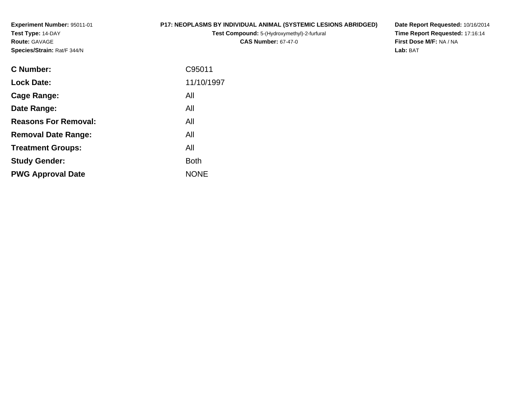**Experiment Number:** 95011-01**Test Type:** 14-DAY**Route:** GAVAGE**Species/Strain:** Rat/F 344/N

# **P17: NEOPLASMS BY INDIVIDUAL ANIMAL (SYSTEMIC LESIONS ABRIDGED)**

**Test Compound:** 5-(Hydroxymethyl)-2-furfural **CAS Number:** 67-47-0

**Date Report Requested:** 10/16/2014 **Time Report Requested:** 17:16:14**First Dose M/F:** NA / NA**Lab:** BAT

| <b>C</b> Number:            | C95011      |
|-----------------------------|-------------|
| <b>Lock Date:</b>           | 11/10/1997  |
| Cage Range:                 | All         |
| Date Range:                 | All         |
| <b>Reasons For Removal:</b> | All         |
| <b>Removal Date Range:</b>  | All         |
| <b>Treatment Groups:</b>    | All         |
| <b>Study Gender:</b>        | <b>Both</b> |
| <b>PWG Approval Date</b>    | <b>NONE</b> |
|                             |             |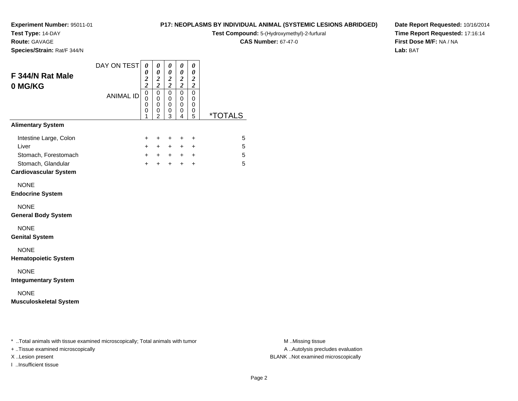**Test Type:** 14-DAY

**Route:** GAVAGE

**Species/Strain:** Rat/F 344/N

## **P17: NEOPLASMS BY INDIVIDUAL ANIMAL (SYSTEMIC LESIONS ABRIDGED)**

**Test Compound:** 5-(Hydroxymethyl)-2-furfural

**CAS Number:** 67-47-0

**Date Report Requested:** 10/16/2014**Time Report Requested:** 17:16:14**First Dose M/F:** NA / NA**Lab:** BAT

| F 344/N Rat Male<br>0 MG/KG                        | DAY ON TEST      | $\boldsymbol{\theta}$<br>0<br>$\frac{2}{2}$         | 0<br>$\boldsymbol{\theta}$<br>$\frac{2}{2}$            | $\boldsymbol{\theta}$<br>$\pmb{\theta}$<br>$\frac{2}{2}$ | $\boldsymbol{\theta}$<br>$\boldsymbol{\theta}$<br>$\frac{2}{2}$  | 0<br>$\pmb{\theta}$<br>$\boldsymbol{2}$<br>$\overline{\mathbf{c}}$ |                       |
|----------------------------------------------------|------------------|-----------------------------------------------------|--------------------------------------------------------|----------------------------------------------------------|------------------------------------------------------------------|--------------------------------------------------------------------|-----------------------|
|                                                    | <b>ANIMAL ID</b> | $\mathbf 0$<br>$\mathbf 0$<br>$\mathbf 0$<br>0<br>1 | $\mathbf 0$<br>$\mathbf 0$<br>0<br>0<br>$\mathfrak{p}$ | $\mathbf 0$<br>0<br>0<br>0<br>3                          | $\mathbf 0$<br>$\mathbf 0$<br>$\mathbf 0$<br>0<br>$\overline{4}$ | $\mathbf 0$<br>0<br>0<br>0<br>5                                    | <i><b>*TOTALS</b></i> |
| <b>Alimentary System</b>                           |                  |                                                     |                                                        |                                                          |                                                                  |                                                                    |                       |
| Intestine Large, Colon                             |                  | +                                                   | $\ddot{}$                                              | $\ddot{}$                                                | +                                                                | $\ddot{}$                                                          | 5                     |
| Liver                                              |                  | $\ddot{}$                                           | $+$                                                    | $+$                                                      | $+$                                                              | $\ddot{}$                                                          | 5                     |
| Stomach, Forestomach                               |                  | $+$                                                 | $+$                                                    | $+$                                                      |                                                                  | $+$ $+$                                                            | 5                     |
| Stomach, Glandular<br><b>Cardiovascular System</b> |                  | $\ddot{}$                                           | $+$                                                    | $+$                                                      | $+$                                                              | $\ddot{}$                                                          | 5                     |
| <b>NONE</b><br><b>Endocrine System</b>             |                  |                                                     |                                                        |                                                          |                                                                  |                                                                    |                       |
| <b>NONE</b><br><b>General Body System</b>          |                  |                                                     |                                                        |                                                          |                                                                  |                                                                    |                       |
| <b>NONE</b><br><b>Genital System</b>               |                  |                                                     |                                                        |                                                          |                                                                  |                                                                    |                       |
| <b>NONE</b><br><b>Hematopoietic System</b>         |                  |                                                     |                                                        |                                                          |                                                                  |                                                                    |                       |
| <b>NONE</b><br><b>Integumentary System</b>         |                  |                                                     |                                                        |                                                          |                                                                  |                                                                    |                       |
| <b>NONE</b><br><b>Musculoskeletal System</b>       |                  |                                                     |                                                        |                                                          |                                                                  |                                                                    |                       |

\* ..Total animals with tissue examined microscopically; Total animals with tumor **M** . Missing tissue M ..Missing tissue

+ ..Tissue examined microscopically

I ..Insufficient tissue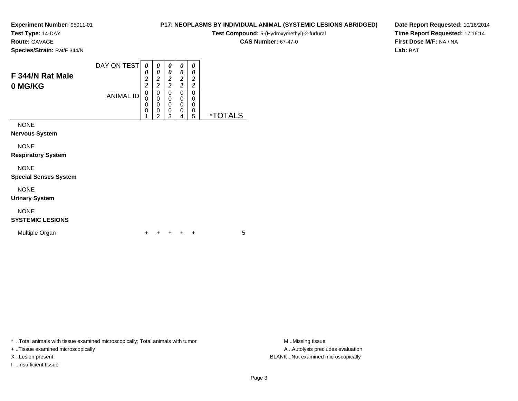**Test Type:** 14-DAY

**Route:** GAVAGE

**Species/Strain:** Rat/F 344/N

|                  | DAY ON TEST      |        |   | U      | $\boldsymbol{\theta}$ | 0 |  |
|------------------|------------------|--------|---|--------|-----------------------|---|--|
| F 344/N Rat Male |                  | 0      | U | 0      | 0                     | 0 |  |
|                  |                  | ി<br>∠ | ◠ | ኅ<br>∠ | 2                     | 2 |  |
| 0 MG/KG          |                  | ◠      | ◠ | ኅ      | ◠                     | ∍ |  |
|                  | <b>ANIMAL ID</b> | 0      |   | U      | 0                     | 0 |  |
|                  |                  | 0      |   | 0      | 0                     | 0 |  |
|                  |                  | 0      |   | C      | 0                     | 0 |  |
|                  |                  | 0      |   | 0      | 0                     | 0 |  |
|                  |                  |        | ີ | າ      |                       | 5 |  |

NONE

**Nervous System**

NONE

**Respiratory System**

NONE

**Special Senses System**

NONE

**Urinary System**

# NONE

**SYSTEMIC LESIONS**

Multiple Organn  $+$ 

<sup>+</sup> <sup>+</sup> <sup>+</sup> <sup>+</sup> <sup>5</sup>

\* ..Total animals with tissue examined microscopically; Total animals with tumor **M** ...Missing tissue M ...Missing tissue

+ ..Tissue examined microscopically

I ..Insufficient tissue

**P17: NEOPLASMS BY INDIVIDUAL ANIMAL (SYSTEMIC LESIONS ABRIDGED)**

**Test Compound:** 5-(Hydroxymethyl)-2-furfural

**CAS Number:** 67-47-0

**Date Report Requested:** 10/16/2014**Time Report Requested:** 17:16:14**First Dose M/F:** NA / NA**Lab:** BAT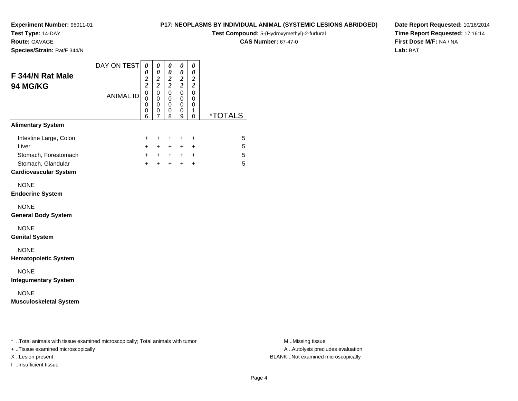**Test Type:** 14-DAY

**Route:** GAVAGE

**Species/Strain:** Rat/F 344/N

## **P17: NEOPLASMS BY INDIVIDUAL ANIMAL (SYSTEMIC LESIONS ABRIDGED)**

**Test Compound:** 5-(Hydroxymethyl)-2-furfural

**CAS Number:** 67-47-0

**Date Report Requested:** 10/16/2014**Time Report Requested:** 17:16:14**First Dose M/F:** NA / NA**Lab:** BAT

| F 344/N Rat Male<br>94 MG/KG                                                                                  | DAY ON TEST      | 0<br>$\boldsymbol{\theta}$<br>$\frac{2}{2}$  | $\pmb{\theta}$<br>$\boldsymbol{\theta}$<br>$\frac{2}{2}$ | 0<br>$\pmb{\theta}$<br>$\frac{2}{2}$    | 0<br>$\pmb{\theta}$<br>$\frac{2}{2}$ | 0<br>$\pmb{\theta}$<br>$\boldsymbol{2}$<br>$\overline{\mathbf{c}}$ |                       |
|---------------------------------------------------------------------------------------------------------------|------------------|----------------------------------------------|----------------------------------------------------------|-----------------------------------------|--------------------------------------|--------------------------------------------------------------------|-----------------------|
|                                                                                                               | <b>ANIMAL ID</b> | $\overline{0}$<br>$\mathbf 0$<br>0<br>0<br>6 | $\mathbf 0$<br>0<br>0<br>0<br>$\overline{7}$             | $\mathbf 0$<br>0<br>$\pmb{0}$<br>0<br>8 | $\mathbf 0$<br>0<br>0<br>0<br>9      | $\mathbf 0$<br>0<br>0<br>1<br>0                                    | <i><b>*TOTALS</b></i> |
| <b>Alimentary System</b>                                                                                      |                  |                                              |                                                          |                                         |                                      |                                                                    |                       |
| Intestine Large, Colon<br>Liver<br>Stomach, Forestomach<br>Stomach, Glandular<br><b>Cardiovascular System</b> |                  | +<br>$\ddot{}$<br>$+$<br>$\ddot{}$           | $\ddot{}$<br>$+$<br>$+$<br>$+$                           | $\ddot{}$<br>$+$<br>$+$<br>$+$          | +<br>$+$<br>$+$                      | $\ddot{}$<br>$\ddot{}$<br>$+$ $+$<br>$\ddot{}$                     | 5<br>5<br>5<br>5      |
| <b>NONE</b><br><b>Endocrine System</b>                                                                        |                  |                                              |                                                          |                                         |                                      |                                                                    |                       |
| <b>NONE</b><br><b>General Body System</b>                                                                     |                  |                                              |                                                          |                                         |                                      |                                                                    |                       |
| <b>NONE</b><br><b>Genital System</b>                                                                          |                  |                                              |                                                          |                                         |                                      |                                                                    |                       |
| <b>NONE</b><br><b>Hematopoietic System</b>                                                                    |                  |                                              |                                                          |                                         |                                      |                                                                    |                       |
| <b>NONE</b><br><b>Integumentary System</b>                                                                    |                  |                                              |                                                          |                                         |                                      |                                                                    |                       |
| <b>NONE</b><br><b>Musculoskeletal System</b>                                                                  |                  |                                              |                                                          |                                         |                                      |                                                                    |                       |
|                                                                                                               |                  |                                              |                                                          |                                         |                                      |                                                                    |                       |

\* ..Total animals with tissue examined microscopically; Total animals with tumor **M** . Missing tissue M ..Missing tissue

+ ..Tissue examined microscopically

I ..Insufficient tissue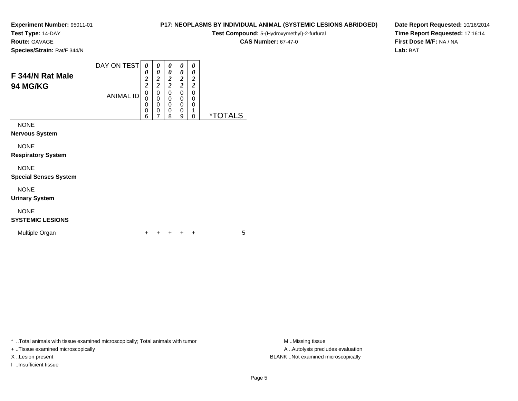**Test Type:** 14-DAY

**Route:** GAVAGE

**Species/Strain:** Rat/F 344/N

#### DAY ON TEST**F 344/N Rat Male94 MG/KG**ANIMAL ID*0 0 2 2*0<br>0<br>0<br>0<br>6 *0 0 2 2*0<br>0<br>0<br>0<br>7 *0 0 2 2* 0 0 0 0 8*0 0 2 2* 0 0 0 0 9*0 0 2 2* 0 00<br>1<br>^

NONE

**Nervous System**

NONE

**Respiratory System**

NONE

**Special Senses System**

NONE

**Urinary System**

# NONE

# **SYSTEMIC LESIONS**

Multiple Organn  $+$ 

<sup>+</sup> <sup>+</sup> <sup>+</sup> <sup>+</sup> <sup>5</sup>

\* ..Total animals with tissue examined microscopically; Total animals with tumor **M** ..Missing tissue M ..Missing tissue

+ ..Tissue examined microscopically

I ..Insufficient tissue

**P17: NEOPLASMS BY INDIVIDUAL ANIMAL (SYSTEMIC LESIONS ABRIDGED)**

**Test Compound:** 5-(Hydroxymethyl)-2-furfural

**CAS Number:** 67-47-0

0 \*TOTALS

**Date Report Requested:** 10/16/2014**Time Report Requested:** 17:16:14**First Dose M/F:** NA / NA**Lab:** BAT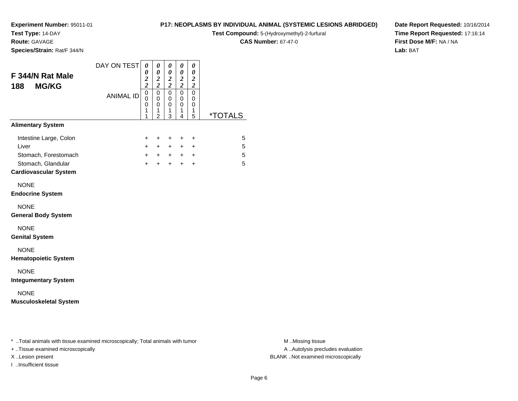**Test Type:** 14-DAY

**Route:** GAVAGE

**Species/Strain:** Rat/F 344/N

# **P17: NEOPLASMS BY INDIVIDUAL ANIMAL (SYSTEMIC LESIONS ABRIDGED)**

**Test Compound:** 5-(Hydroxymethyl)-2-furfural

**CAS Number:** 67-47-0

**Date Report Requested:** 10/16/2014**Time Report Requested:** 17:16:14**First Dose M/F:** NA / NA**Lab:** BAT

| F 344/N Rat Male<br><b>MG/KG</b><br>188                                                                       | DAY ON TEST      | 0<br>0<br>$\frac{2}{2}$         | 0<br>0<br>$\boldsymbol{2}$<br>$\overline{\mathbf{c}}$  | 0<br>$\pmb{\theta}$<br>$\frac{2}{2}$ | 0<br>$\boldsymbol{\theta}$<br>$\frac{2}{2}$            | 0<br>$\boldsymbol{\theta}$<br>$\boldsymbol{2}$<br>$\boldsymbol{2}$ |                  |
|---------------------------------------------------------------------------------------------------------------|------------------|---------------------------------|--------------------------------------------------------|--------------------------------------|--------------------------------------------------------|--------------------------------------------------------------------|------------------|
|                                                                                                               | <b>ANIMAL ID</b> | $\mathbf 0$<br>0<br>0<br>1<br>1 | $\mathbf 0$<br>$\mathbf 0$<br>0<br>1<br>$\overline{2}$ | 0<br>$\mathbf 0$<br>0<br>1<br>3      | $\mathbf 0$<br>$\mathbf 0$<br>0<br>1<br>$\overline{4}$ | 0<br>0<br>0<br>1<br>5                                              | *TOTALS          |
| <b>Alimentary System</b>                                                                                      |                  |                                 |                                                        |                                      |                                                        |                                                                    |                  |
| Intestine Large, Colon<br>Liver<br>Stomach, Forestomach<br>Stomach, Glandular<br><b>Cardiovascular System</b> |                  | +<br>$+$<br>$+$<br>$+$          | $\ddot{}$<br>$+$<br>$+$<br>$+$                         | $\ddot{}$<br>$+$<br>$+$<br>$+$       | $\ddot{}$<br>$+$ $-$<br>$+$                            | $\ddot{}$<br>$\ddot{}$<br>$+$ $+$<br>$+$                           | 5<br>5<br>5<br>5 |
| <b>NONE</b><br><b>Endocrine System</b>                                                                        |                  |                                 |                                                        |                                      |                                                        |                                                                    |                  |
| <b>NONE</b><br><b>General Body System</b>                                                                     |                  |                                 |                                                        |                                      |                                                        |                                                                    |                  |
| <b>NONE</b><br><b>Genital System</b>                                                                          |                  |                                 |                                                        |                                      |                                                        |                                                                    |                  |
| <b>NONE</b><br><b>Hematopoietic System</b>                                                                    |                  |                                 |                                                        |                                      |                                                        |                                                                    |                  |
| <b>NONE</b><br><b>Integumentary System</b>                                                                    |                  |                                 |                                                        |                                      |                                                        |                                                                    |                  |
| <b>NONE</b><br><b>Musculoskeletal System</b>                                                                  |                  |                                 |                                                        |                                      |                                                        |                                                                    |                  |

\* ..Total animals with tissue examined microscopically; Total animals with tumor **M** . Missing tissue M ..Missing tissue

+ ..Tissue examined microscopically

I ..Insufficient tissue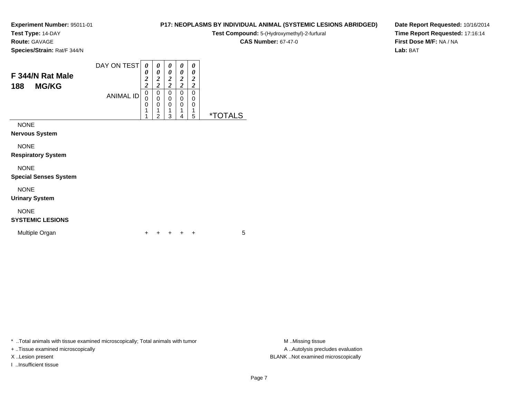**Test Type:** 14-DAY

**Route:** GAVAGE

**Species/Strain:** Rat/F 344/N

#### DAY ON TEST**F 344/N Rat Male188 MG/KG**ANIMAL ID*0 0 2 2* 0 0 0*0 0 2 2*0<br>0<br>0<br>1 *0 0 2 2* 0 0 0*0 0 2 2* 0 0 0*0 0 2 2* 00

 11

2

 13  14 0<br>1<br>=

5 \*TOTALS

NONE

**Nervous System**

NONE

**Respiratory System**

NONE

#### **Special Senses System**

NONE

**Urinary System**

# NONE

# **SYSTEMIC LESIONS**

Multiple Organn  $+$ 

<sup>+</sup> <sup>+</sup> <sup>+</sup> <sup>+</sup> <sup>5</sup>

\* ..Total animals with tissue examined microscopically; Total animals with tumor **M** ..Missing tissue M ..Missing tissue

+ ..Tissue examined microscopically

I ..Insufficient tissue

**CAS Number:** 67-47-0

**P17: NEOPLASMS BY INDIVIDUAL ANIMAL (SYSTEMIC LESIONS ABRIDGED)Test Compound:** 5-(Hydroxymethyl)-2-furfural

**Date Report Requested:** 10/16/2014**Time Report Requested:** 17:16:14**First Dose M/F:** NA / NA**Lab:** BAT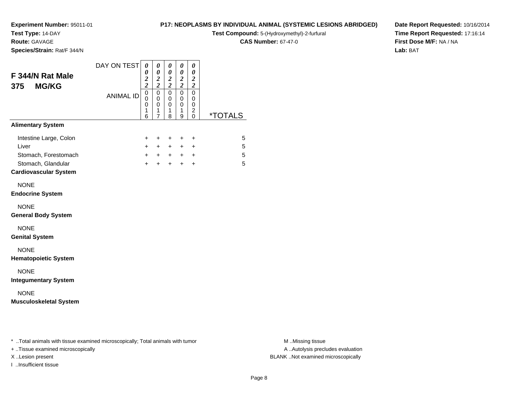**Test Type:** 14-DAY

**Route:** GAVAGE

**Species/Strain:** Rat/F 344/N

# **P17: NEOPLASMS BY INDIVIDUAL ANIMAL (SYSTEMIC LESIONS ABRIDGED)**

**Test Compound:** 5-(Hydroxymethyl)-2-furfural

**CAS Number:** 67-47-0

**Date Report Requested:** 10/16/2014**Time Report Requested:** 17:16:14**First Dose M/F:** NA / NA**Lab:** BAT

| F 344/N Rat Male<br><b>MG/KG</b><br>375                                       | DAY ON TEST      | 0<br>0<br>$\frac{2}{2}$            | 0<br>0<br>$\boldsymbol{2}$<br>$\overline{\mathbf{c}}$ | 0<br>$\pmb{\theta}$<br>$\frac{2}{2}$ | 0<br>$\boldsymbol{\theta}$<br>$\frac{2}{2}$ | 0<br>$\boldsymbol{\theta}$<br>$\boldsymbol{2}$<br>$\boldsymbol{2}$ |                       |
|-------------------------------------------------------------------------------|------------------|------------------------------------|-------------------------------------------------------|--------------------------------------|---------------------------------------------|--------------------------------------------------------------------|-----------------------|
|                                                                               | <b>ANIMAL ID</b> | $\mathsf 0$<br>0<br>0<br>1<br>6    | $\mathbf 0$<br>0<br>0<br>1<br>$\overline{7}$          | $\mathbf 0$<br>0<br>0<br>1<br>8      | 0<br>0<br>0<br>1<br>9                       | $\mathbf 0$<br>$\mathbf 0$<br>0<br>$\overline{c}$<br>$\Omega$      | <i><b>*TOTALS</b></i> |
| <b>Alimentary System</b>                                                      |                  |                                    |                                                       |                                      |                                             |                                                                    |                       |
| Intestine Large, Colon<br>Liver<br>Stomach, Forestomach<br>Stomach, Glandular |                  | +<br>$\ddot{}$<br>$+$<br>$\ddot{}$ | $\ddot{}$<br>$+$<br>$+$                               | $\pm$<br>$+$<br>$+$ $+$<br>$+$       | $\ddot{}$<br>$+$<br>$+$                     | $\ddot{}$<br>$\ddot{}$<br>$+$ $+$<br>$\ddot{}$                     | 5<br>5<br>5<br>5      |
| <b>Cardiovascular System</b>                                                  |                  |                                    |                                                       |                                      |                                             |                                                                    |                       |
| <b>NONE</b><br><b>Endocrine System</b>                                        |                  |                                    |                                                       |                                      |                                             |                                                                    |                       |
| <b>NONE</b><br><b>General Body System</b>                                     |                  |                                    |                                                       |                                      |                                             |                                                                    |                       |
| <b>NONE</b><br><b>Genital System</b>                                          |                  |                                    |                                                       |                                      |                                             |                                                                    |                       |
| <b>NONE</b><br><b>Hematopoietic System</b>                                    |                  |                                    |                                                       |                                      |                                             |                                                                    |                       |
| <b>NONE</b><br><b>Integumentary System</b>                                    |                  |                                    |                                                       |                                      |                                             |                                                                    |                       |
| <b>NONE</b><br><b>Musculoskeletal System</b>                                  |                  |                                    |                                                       |                                      |                                             |                                                                    |                       |

\* ..Total animals with tissue examined microscopically; Total animals with tumor **M** . Missing tissue M ..Missing tissue

+ ..Tissue examined microscopically

I ..Insufficient tissue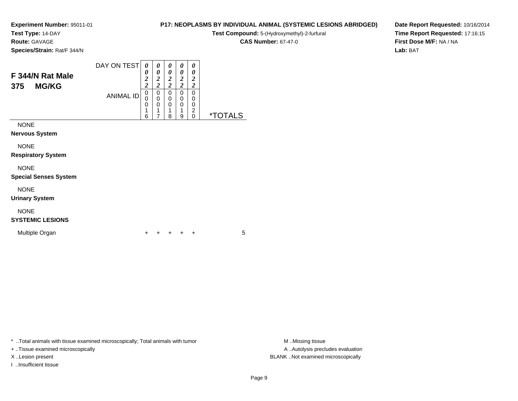**Test Type:** 14-DAY

**Route:** GAVAGE

**Species/Strain:** Rat/F 344/N

#### DAY ON TEST**F 344/N Rat Male375 MG/KG**ANIMAL ID*0 0 2 2* 0 0 0 1*0 0 2 2*0<br>0<br>0<br>1 *0 0 2 2* 0 0 0 1*0 0 2 2* 0 0 0 1*0 0 2 2* 0 0 0 2 0 \*TOTALS

6

7

8

9

NONE

**Nervous System**

NONE

**Respiratory System**

NONE

**Special Senses System**

NONE

**Urinary System**

# NONE

# **SYSTEMIC LESIONS**

Multiple Organn  $+$ 

<sup>+</sup> <sup>+</sup> <sup>+</sup> <sup>+</sup> <sup>5</sup>

\* ..Total animals with tissue examined microscopically; Total animals with tumor **M** ..Missing tissue M ..Missing tissue

+ ..Tissue examined microscopically

X ..Lesion present BLANK ..Not examined microscopically

I ..Insufficient tissue

**P17: NEOPLASMS BY INDIVIDUAL ANIMAL (SYSTEMIC LESIONS ABRIDGED)**

**Test Compound:** 5-(Hydroxymethyl)-2-furfural

**CAS Number:** 67-47-0

**Date Report Requested:** 10/16/2014**Time Report Requested:** 17:16:15**First Dose M/F:** NA / NA**Lab:** BAT

A ..Autolysis precludes evaluation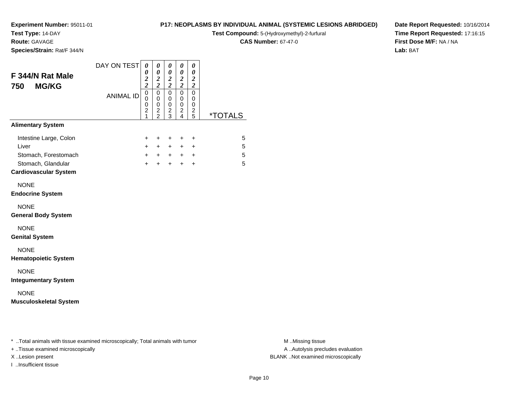**Test Type:** 14-DAY

**Route:** GAVAGE

**Species/Strain:** Rat/F 344/N

#### **P17: NEOPLASMS BY INDIVIDUAL ANIMAL (SYSTEMIC LESIONS ABRIDGED)**

**Test Compound:** 5-(Hydroxymethyl)-2-furfural

**CAS Number:** 67-47-0

**Date Report Requested:** 10/16/2014**Time Report Requested:** 17:16:15**First Dose M/F:** NA / NA**Lab:** BAT

| <b>ANIMAL ID</b> | $\frac{2}{2}$<br>$\overline{0}$<br>$\mathbf 0$<br>$\mathbf 0$<br>$\overline{c}$<br>1<br>+<br>$\ddot{}$<br>$+$<br>$\ddot{}$ | $\mathsf 0$<br>0<br>0<br>0<br>$\mathsf 0$<br>0<br>$\frac{2}{2}$<br>$\frac{2}{3}$<br>+<br>+<br>$+$<br>$+$<br>$+$ $+$ $+$ $+$<br>$\ddot{}$<br>$+$ | $\frac{2}{2}$<br>$\mathbf 0$<br>$\mathbf 0$<br>$\pmb{0}$<br>$\frac{2}{4}$<br>+<br>$+$ $-$<br>$+$ | $\mathsf 0$<br>0<br>0<br>$\frac{2}{5}$<br>+<br>$\ddot{}$<br>$\ddot{}$ | <i><b>*TOTALS</b></i> | 5<br>5<br>5<br>5 |
|------------------|----------------------------------------------------------------------------------------------------------------------------|-------------------------------------------------------------------------------------------------------------------------------------------------|--------------------------------------------------------------------------------------------------|-----------------------------------------------------------------------|-----------------------|------------------|
|                  |                                                                                                                            |                                                                                                                                                 |                                                                                                  |                                                                       |                       |                  |
|                  |                                                                                                                            |                                                                                                                                                 |                                                                                                  |                                                                       |                       |                  |
|                  |                                                                                                                            |                                                                                                                                                 |                                                                                                  |                                                                       |                       |                  |
|                  |                                                                                                                            |                                                                                                                                                 |                                                                                                  |                                                                       |                       |                  |
|                  |                                                                                                                            |                                                                                                                                                 |                                                                                                  |                                                                       |                       |                  |
|                  |                                                                                                                            |                                                                                                                                                 |                                                                                                  |                                                                       |                       |                  |
|                  |                                                                                                                            |                                                                                                                                                 |                                                                                                  |                                                                       |                       |                  |
|                  |                                                                                                                            |                                                                                                                                                 |                                                                                                  |                                                                       |                       |                  |
|                  |                                                                                                                            |                                                                                                                                                 |                                                                                                  |                                                                       |                       |                  |
|                  |                                                                                                                            |                                                                                                                                                 |                                                                                                  |                                                                       |                       |                  |

\* ..Total animals with tissue examined microscopically; Total animals with tumor **M** . Missing tissue M ..Missing tissue

+ ..Tissue examined microscopically

I ..Insufficient tissue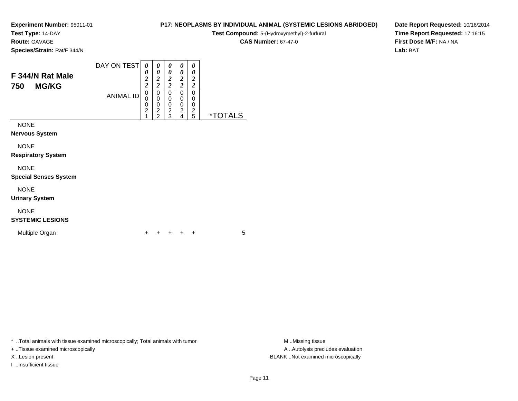**Test Type:** 14-DAY

**Route:** GAVAGE

**Species/Strain:** Rat/F 344/N

#### DAY ON TEST**F 344/N Rat Male750 MG/KG**ANIMAL ID*0 0 2 2*0<br>0<br>0<br>2<br>1 *0 0 2 2*0<br>0<br>0<br>2<br>2 *0 0 2 2* 0 0 0 2 3*0 0 2 2* 0 0 0 2 4*0 0 2 2* 0 00<br>2<br>=

NONE

**Nervous System**

NONE

**Respiratory System**

NONE

**Special Senses System**

NONE

**Urinary System**

# NONE

**SYSTEMIC LESIONS**

Multiple Organn  $+$ 

<sup>+</sup> <sup>+</sup> <sup>+</sup> <sup>+</sup> <sup>5</sup>

\* ..Total animals with tissue examined microscopically; Total animals with tumor **M** ..Missing tissue M ..Missing tissue

+ ..Tissue examined microscopically

I ..Insufficient tissue

A ..Autolysis precludes evaluation X ..Lesion present BLANK ..Not examined microscopically

# **P17: NEOPLASMS BY INDIVIDUAL ANIMAL (SYSTEMIC LESIONS ABRIDGED)**

**Test Compound:** 5-(Hydroxymethyl)-2-furfural

**CAS Number:** 67-47-0

5 \*TOTALS

**Date Report Requested:** 10/16/2014**Time Report Requested:** 17:16:15**First Dose M/F:** NA / NA**Lab:** BAT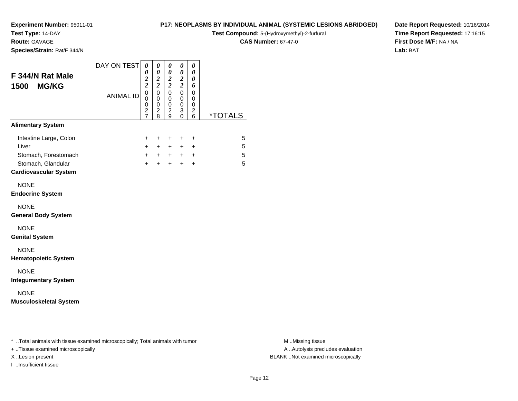**Test Type:** 14-DAY

**Route:** GAVAGE

**Species/Strain:** Rat/F 344/N

# **P17: NEOPLASMS BY INDIVIDUAL ANIMAL (SYSTEMIC LESIONS ABRIDGED)**

**Test Compound:** 5-(Hydroxymethyl)-2-furfural

**CAS Number:** 67-47-0

**Date Report Requested:** 10/16/2014**Time Report Requested:** 17:16:15**First Dose M/F:** NA / NA**Lab:** BAT

| F 344/N Rat Male<br><b>MG/KG</b><br>1500                                                                      | DAY ON TEST      | 0<br>0<br>$\frac{2}{2}$                               | 0<br>$\pmb{\theta}$<br>$\boldsymbol{2}$<br>$\overline{c}$       | 0<br>$\pmb{\theta}$<br>$\frac{2}{2}$                  | 0<br>$\boldsymbol{\theta}$<br>$\boldsymbol{2}$<br>$\overline{2}$ | 0<br>0<br>0<br>6                                      |                       |
|---------------------------------------------------------------------------------------------------------------|------------------|-------------------------------------------------------|-----------------------------------------------------------------|-------------------------------------------------------|------------------------------------------------------------------|-------------------------------------------------------|-----------------------|
|                                                                                                               | <b>ANIMAL ID</b> | $\mathbf 0$<br>0<br>$\boldsymbol{0}$<br>$\frac{2}{7}$ | $\mathbf 0$<br>$\mathbf 0$<br>0<br>$\overline{\mathbf{c}}$<br>8 | $\mathbf 0$<br>0<br>0<br>$\overline{\mathbf{c}}$<br>9 | $\mathbf 0$<br>0<br>0<br>3<br>$\mathbf 0$                        | $\mathbf 0$<br>0<br>0<br>$\overline{\mathbf{c}}$<br>6 | <i><b>*TOTALS</b></i> |
| <b>Alimentary System</b>                                                                                      |                  |                                                       |                                                                 |                                                       |                                                                  |                                                       |                       |
| Intestine Large, Colon<br>Liver<br>Stomach, Forestomach<br>Stomach, Glandular<br><b>Cardiovascular System</b> |                  | +<br>$\ddot{}$<br>$+$<br>$+$                          | $\ddot{}$<br>$+$<br>$+$<br>$\ddot{}$                            | $\ddot{}$<br>$\ddot{}$<br>$+$<br>$+$                  | +<br>$+$ $-$<br>$+$                                              | $\ddot{}$<br>$\ddot{}$<br>$+$ $+$<br>$\ddot{}$        | 5<br>5<br>5<br>5      |
| <b>NONE</b><br><b>Endocrine System</b>                                                                        |                  |                                                       |                                                                 |                                                       |                                                                  |                                                       |                       |
| <b>NONE</b><br><b>General Body System</b>                                                                     |                  |                                                       |                                                                 |                                                       |                                                                  |                                                       |                       |
| <b>NONE</b><br><b>Genital System</b>                                                                          |                  |                                                       |                                                                 |                                                       |                                                                  |                                                       |                       |
| <b>NONE</b><br><b>Hematopoietic System</b>                                                                    |                  |                                                       |                                                                 |                                                       |                                                                  |                                                       |                       |
| <b>NONE</b><br><b>Integumentary System</b>                                                                    |                  |                                                       |                                                                 |                                                       |                                                                  |                                                       |                       |
| <b>NONE</b><br><b>Musculoskeletal System</b>                                                                  |                  |                                                       |                                                                 |                                                       |                                                                  |                                                       |                       |

\* ..Total animals with tissue examined microscopically; Total animals with tumor **M** . Missing tissue M ..Missing tissue

+ ..Tissue examined microscopically

I ..Insufficient tissue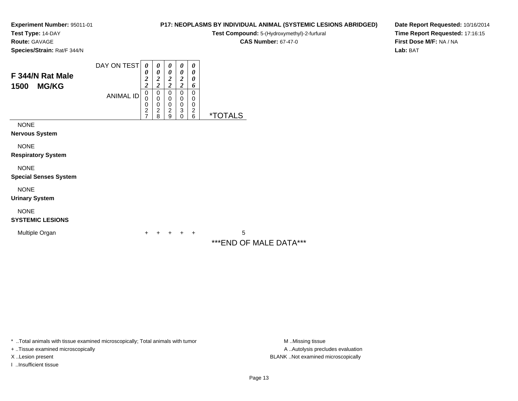**Test Type:** 14-DAY

**Route:** GAVAGE

**Species/Strain:** Rat/F 344/N

# **CAS Number:** 67-47-0

**Date Report Requested:** 10/16/2014**Time Report Requested:** 17:16:15**First Dose M/F:** NA / NA**Lab:** BAT

| F 344/N Rat Male<br><b>MG/KG</b><br>1500    | DAY ON TEST<br><b>ANIMAL ID</b> | 0<br>0<br>$\frac{2}{2}$<br>$\mathbf 0$<br>0<br>0<br>$\frac{2}{7}$ | 0<br>0<br>$\frac{2}{2}$<br>0<br>$\mathbf 0$<br>$\pmb{0}$<br>$\overline{c}$<br>8 | 0<br>$\boldsymbol{\theta}$<br>$\boldsymbol{2}$<br>$\overline{2}$<br>0<br>$\pmb{0}$<br>$\pmb{0}$<br>$\overline{2}$<br>$\boldsymbol{9}$ | 0<br>0<br>$\boldsymbol{2}$<br>$\overline{\mathbf{c}}$<br>0<br>0<br>$\pmb{0}$<br>$\ensuremath{\mathsf{3}}$<br>0 | 0<br>0<br>0<br>6<br>0<br>0<br>0<br>$\boldsymbol{2}$<br>6 | <i><b>*TOTALS</b></i>       |
|---------------------------------------------|---------------------------------|-------------------------------------------------------------------|---------------------------------------------------------------------------------|---------------------------------------------------------------------------------------------------------------------------------------|----------------------------------------------------------------------------------------------------------------|----------------------------------------------------------|-----------------------------|
| <b>NONE</b><br><b>Nervous System</b>        |                                 |                                                                   |                                                                                 |                                                                                                                                       |                                                                                                                |                                                          |                             |
| <b>NONE</b><br><b>Respiratory System</b>    |                                 |                                                                   |                                                                                 |                                                                                                                                       |                                                                                                                |                                                          |                             |
| <b>NONE</b><br><b>Special Senses System</b> |                                 |                                                                   |                                                                                 |                                                                                                                                       |                                                                                                                |                                                          |                             |
| <b>NONE</b><br><b>Urinary System</b>        |                                 |                                                                   |                                                                                 |                                                                                                                                       |                                                                                                                |                                                          |                             |
| <b>NONE</b><br><b>SYSTEMIC LESIONS</b>      |                                 |                                                                   |                                                                                 |                                                                                                                                       |                                                                                                                |                                                          |                             |
| Multiple Organ                              |                                 | +                                                                 | +                                                                               | $\ddot{}$                                                                                                                             | $\pm$                                                                                                          | $+$                                                      | 5<br>***END OF MALE DATA*** |

\* ..Total animals with tissue examined microscopically; Total animals with tumor

+ ..Tissue examined microscopically

I ..Insufficient tissue

A ..Autolysis precludes evaluation X ..Lesion present BLANK ..Not examined microscopically

**P17: NEOPLASMS BY INDIVIDUAL ANIMAL (SYSTEMIC LESIONS ABRIDGED)Test Compound:** 5-(Hydroxymethyl)-2-furfural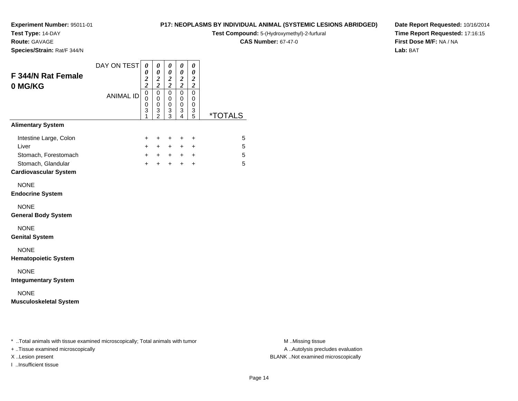**Test Type:** 14-DAY

**Route:** GAVAGE

**Species/Strain:** Rat/F 344/N

## **P17: NEOPLASMS BY INDIVIDUAL ANIMAL (SYSTEMIC LESIONS ABRIDGED)**

**Test Compound:** 5-(Hydroxymethyl)-2-furfural

**CAS Number:** 67-47-0

**Date Report Requested:** 10/16/2014**Time Report Requested:** 17:16:15**First Dose M/F:** NA / NA**Lab:** BAT

| F 344/N Rat Female<br>0 MG/KG                                              | DAY ON TEST      | 0<br>$\boldsymbol{\theta}$<br>$\frac{2}{2}$ | 0<br>$\boldsymbol{\theta}$<br>$\overline{\mathbf{c}}$<br>$\overline{\mathbf{c}}$ | 0<br>$\boldsymbol{\theta}$<br>$\frac{2}{2}$  | 0<br>$\pmb{\theta}$<br>$\frac{2}{2}$   | 0<br>$\boldsymbol{\theta}$<br>$\boldsymbol{2}$<br>$\boldsymbol{2}$ |                       |
|----------------------------------------------------------------------------|------------------|---------------------------------------------|----------------------------------------------------------------------------------|----------------------------------------------|----------------------------------------|--------------------------------------------------------------------|-----------------------|
|                                                                            | <b>ANIMAL ID</b> | $\overline{0}$<br>0<br>0<br>3<br>1          | $\mathbf 0$<br>$\mathbf 0$<br>0<br>3<br>$\overline{2}$                           | $\mathbf 0$<br>0<br>0<br>3<br>$\overline{3}$ | $\mathbf 0$<br>0<br>0<br>$\frac{3}{4}$ | $\mathbf 0$<br>0<br>0<br>3<br>$\overline{5}$                       | <i><b>*TOTALS</b></i> |
| <b>Alimentary System</b>                                                   |                  |                                             |                                                                                  |                                              |                                        |                                                                    |                       |
| Intestine Large, Colon<br>Liver                                            |                  | +<br>$+$                                    | $\ddot{}$<br>$+$                                                                 | $\ddot{}$<br>$+$                             | $\ddot{}$<br>$+$                       | +<br>$\ddot{}$                                                     | 5<br>5                |
| Stomach, Forestomach<br>Stomach, Glandular<br><b>Cardiovascular System</b> |                  | $+$<br>$+$                                  | $+$                                                                              | $+$                                          | $+$ $+$ $+$ $+$<br>$+$                 | $\ddot{}$                                                          | 5<br>5                |
| <b>NONE</b><br><b>Endocrine System</b>                                     |                  |                                             |                                                                                  |                                              |                                        |                                                                    |                       |
| <b>NONE</b><br><b>General Body System</b>                                  |                  |                                             |                                                                                  |                                              |                                        |                                                                    |                       |
| <b>NONE</b><br><b>Genital System</b>                                       |                  |                                             |                                                                                  |                                              |                                        |                                                                    |                       |
| <b>NONE</b><br><b>Hematopoietic System</b>                                 |                  |                                             |                                                                                  |                                              |                                        |                                                                    |                       |
| <b>NONE</b><br><b>Integumentary System</b>                                 |                  |                                             |                                                                                  |                                              |                                        |                                                                    |                       |
| <b>NONE</b><br><b>Musculoskeletal System</b>                               |                  |                                             |                                                                                  |                                              |                                        |                                                                    |                       |

\* ..Total animals with tissue examined microscopically; Total animals with tumor **M** . Missing tissue M ..Missing tissue

+ ..Tissue examined microscopically

I ..Insufficient tissue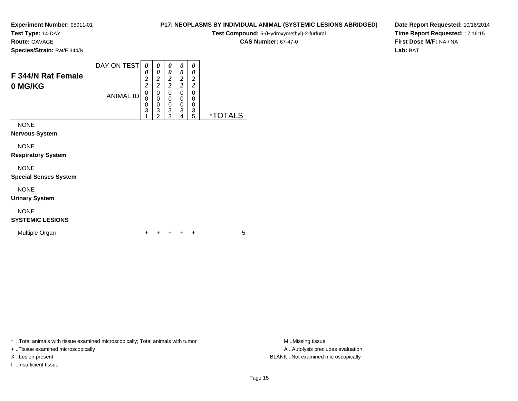**Test Type:** 14-DAY

**Route:** GAVAGE

**Species/Strain:** Rat/F 344/N

# **P17: NEOPLASMS BY INDIVIDUAL ANIMAL (SYSTEMIC LESIONS ABRIDGED)**

 $\overline{\phantom{0}}$ 

**Test Compound:** 5-(Hydroxymethyl)-2-furfural

**CAS Number:** 67-47-0

**Date Report Requested:** 10/16/2014**Time Report Requested:** 17:16:15**First Dose M/F:** NA / NA**Lab:** BAT

| <b>F 344/N Rat Female</b><br>0 MG/KG | DAY ON TEST      | $\boldsymbol{\theta}$<br>0<br>$\overline{2}$<br>$\overline{2}$ | 0<br>0<br>$\overline{\mathbf{c}}$<br>2 | 0<br>0<br>2<br>2      | 0<br>0<br>$\overline{\mathbf{c}}$<br>ኅ | $\theta$<br>0<br>2<br>2 |            |
|--------------------------------------|------------------|----------------------------------------------------------------|----------------------------------------|-----------------------|----------------------------------------|-------------------------|------------|
|                                      | <b>ANIMAL ID</b> | 0<br>0<br>0<br>3                                               | 0<br>0<br>0<br>3<br>າ                  | 0<br>0<br>0<br>3<br>3 | 0<br>0<br>0<br>3<br>4                  | 0<br>0<br>3<br>5        | ×т<br>AI S |
| <b>NONE</b><br><b>Nervous System</b> |                  |                                                                |                                        |                       |                                        |                         |            |

NONE

**Respiratory System**

# NONE

**Special Senses System**

NONE

**Urinary System**

# NONE

# **SYSTEMIC LESIONS**

Multiple Organn  $+$ 

<sup>+</sup> <sup>+</sup> <sup>+</sup> <sup>+</sup> <sup>5</sup>

\* ..Total animals with tissue examined microscopically; Total animals with tumor **M** ...Missing tissue M ...Missing tissue

+ ..Tissue examined microscopically

I ..Insufficient tissue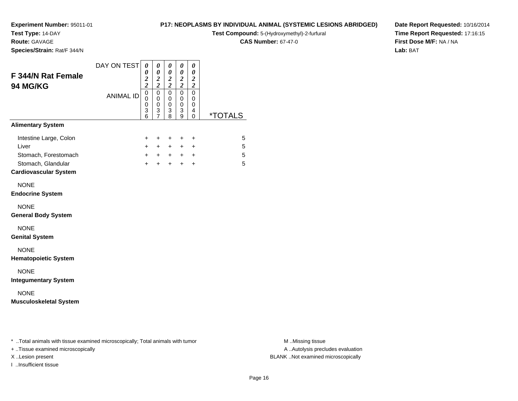**Test Type:** 14-DAY

**Route:** GAVAGE

**Species/Strain:** Rat/F 344/N

# **P17: NEOPLASMS BY INDIVIDUAL ANIMAL (SYSTEMIC LESIONS ABRIDGED)**

**Test Compound:** 5-(Hydroxymethyl)-2-furfural

**CAS Number:** 67-47-0

**Date Report Requested:** 10/16/2014**Time Report Requested:** 17:16:15**First Dose M/F:** NA / NA**Lab:** BAT

| <b>ANIMAL ID</b> | $\overline{0}$<br>0<br>0<br>3<br>6 | $\overline{0}$<br>0<br>$\mathbf 0$<br>3<br>$\overline{7}$ | $\mathbf 0$<br>0<br>$\mathbf 0$<br>$\ensuremath{\mathsf{3}}$<br>8 | $\mathbf 0$<br>0<br>$\mathbf 0$<br>$\ensuremath{\mathsf{3}}$<br>9 | $\mathbf 0$<br>0<br>$\mathbf 0$<br>4 |                       |
|------------------|------------------------------------|-----------------------------------------------------------|-------------------------------------------------------------------|-------------------------------------------------------------------|--------------------------------------|-----------------------|
|                  |                                    |                                                           |                                                                   |                                                                   | 0                                    | <i><b>*TOTALS</b></i> |
|                  |                                    |                                                           |                                                                   |                                                                   |                                      |                       |
|                  | $\pm$<br>$+$                       | $\ddot{}$<br>$+$                                          | $\ddot{}$<br>$+$                                                  | $\ddot{}$<br>$+$                                                  | $\ddot{}$<br>$\ddot{}$               | 5<br>5                |
|                  | $+$                                |                                                           | $+$ $+$ $+$ $+$                                                   |                                                                   |                                      | 5                     |
|                  | $+$                                | $+$                                                       | $+$                                                               | $+$                                                               | $\ddot{}$                            | 5                     |
|                  |                                    |                                                           |                                                                   |                                                                   |                                      |                       |
|                  |                                    |                                                           |                                                                   |                                                                   |                                      |                       |
|                  |                                    |                                                           |                                                                   |                                                                   |                                      |                       |
|                  |                                    |                                                           |                                                                   |                                                                   |                                      |                       |
|                  |                                    |                                                           |                                                                   |                                                                   |                                      |                       |
|                  |                                    |                                                           |                                                                   |                                                                   |                                      |                       |
|                  |                                    |                                                           |                                                                   |                                                                   |                                      |                       |

\* ..Total animals with tissue examined microscopically; Total animals with tumor **M** . Missing tissue M ..Missing tissue

+ ..Tissue examined microscopically

I ..Insufficient tissue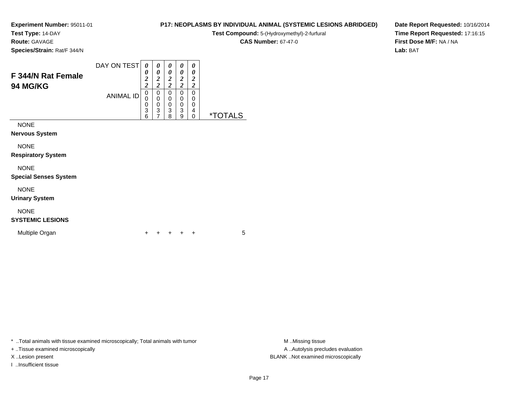**Test Type:** 14-DAY

**Route:** GAVAGE

**Species/Strain:** Rat/F 344/N

# **P17: NEOPLASMS BY INDIVIDUAL ANIMAL (SYSTEMIC LESIONS ABRIDGED)**

**Test Compound:** 5-(Hydroxymethyl)-2-furfural

**CAS Number:** 67-47-0

 $\overline{\phantom{0}}$ 

**Date Report Requested:** 10/16/2014**Time Report Requested:** 17:16:15**First Dose M/F:** NA / NA**Lab:** BAT

| <b>F 344/N Rat Female</b><br><b>94 MG/KG</b> | DAY ON TEST      | 0<br>0<br>2<br>2      | 0<br>0<br>$\overline{2}$<br>2 | 0<br>0<br>2<br>2      | 0<br>0<br>2<br>2      | 0<br>0<br>2<br>ኅ      |            |
|----------------------------------------------|------------------|-----------------------|-------------------------------|-----------------------|-----------------------|-----------------------|------------|
|                                              | <b>ANIMAL ID</b> | 0<br>0<br>0<br>3<br>6 | 0<br>0<br>0<br>3<br>⇁         | 0<br>0<br>0<br>3<br>8 | 0<br>0<br>0<br>3<br>9 | 0<br>0<br>0<br>4<br>Ω | *T(<br>I S |
| <b>NONE</b><br><b>Nervous System</b>         |                  |                       |                               |                       |                       |                       |            |

NONE

**Respiratory System**

#### NONE

**Special Senses System**

NONE

**Urinary System**

# NONE

# **SYSTEMIC LESIONS**

Multiple Organn  $+$ 

<sup>+</sup> <sup>+</sup> <sup>+</sup> <sup>+</sup> <sup>5</sup>

\* ..Total animals with tissue examined microscopically; Total animals with tumor **M** ...Missing tissue M ...Missing tissue

+ ..Tissue examined microscopically

I ..Insufficient tissue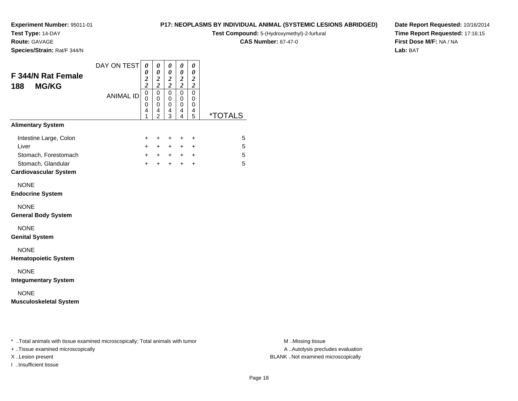**Test Type:** 14-DAY

**Route:** GAVAGE

**Species/Strain:** Rat/F 344/N

# **P17: NEOPLASMS BY INDIVIDUAL ANIMAL (SYSTEMIC LESIONS ABRIDGED)**

**Test Compound:** 5-(Hydroxymethyl)-2-furfural

**CAS Number:** 67-47-0

**Date Report Requested:** 10/16/2014**Time Report Requested:** 17:16:15**First Dose M/F:** NA / NA**Lab:** BAT

| <b>F 344/N Rat Female</b><br><b>MG/KG</b><br>188                                                              | DAY ON TEST      | 0<br>0<br>$\frac{2}{2}$                                | 0<br>$\pmb{\theta}$<br>$\boldsymbol{2}$<br>$\boldsymbol{2}$ | 0<br>$\pmb{\theta}$<br>$\frac{2}{2}$ | 0<br>$\pmb{\theta}$<br>$\frac{2}{2}$                   | 0<br>$\boldsymbol{\theta}$<br>$\boldsymbol{2}$<br>$\boldsymbol{2}$ |                       |
|---------------------------------------------------------------------------------------------------------------|------------------|--------------------------------------------------------|-------------------------------------------------------------|--------------------------------------|--------------------------------------------------------|--------------------------------------------------------------------|-----------------------|
|                                                                                                               | <b>ANIMAL ID</b> | $\overline{0}$<br>$\mathbf 0$<br>$\mathbf 0$<br>4<br>1 | $\mathbf 0$<br>0<br>0<br>4<br>$\overline{2}$                | $\pmb{0}$<br>0<br>0<br>4<br>3        | $\mathbf 0$<br>0<br>$\mathsf 0$<br>4<br>$\overline{4}$ | $\pmb{0}$<br>0<br>0<br>4<br>5                                      | <i><b>*TOTALS</b></i> |
| <b>Alimentary System</b>                                                                                      |                  |                                                        |                                                             |                                      |                                                        |                                                                    |                       |
| Intestine Large, Colon<br>Liver<br>Stomach, Forestomach<br>Stomach, Glandular<br><b>Cardiovascular System</b> |                  | +<br>$\ddot{}$<br>$\ddot{}$<br>$+$                     | $\ddot{}$<br>$+$<br>$+$<br>$+$                              | $\ddot{}$<br>$+$<br>$+$<br>$+$       | +<br>$+$<br>$+$                                        | +<br>$\ddot{}$<br>$+$ $+$<br>$\ddot{}$                             | 5<br>5<br>5<br>5      |
| <b>NONE</b><br><b>Endocrine System</b>                                                                        |                  |                                                        |                                                             |                                      |                                                        |                                                                    |                       |
| <b>NONE</b><br><b>General Body System</b>                                                                     |                  |                                                        |                                                             |                                      |                                                        |                                                                    |                       |
| <b>NONE</b><br><b>Genital System</b>                                                                          |                  |                                                        |                                                             |                                      |                                                        |                                                                    |                       |
| <b>NONE</b><br><b>Hematopoietic System</b>                                                                    |                  |                                                        |                                                             |                                      |                                                        |                                                                    |                       |
| <b>NONE</b><br><b>Integumentary System</b>                                                                    |                  |                                                        |                                                             |                                      |                                                        |                                                                    |                       |
| <b>NONE</b><br><b>Musculoskeletal System</b>                                                                  |                  |                                                        |                                                             |                                      |                                                        |                                                                    |                       |

\* ..Total animals with tissue examined microscopically; Total animals with tumor **M** . Missing tissue M ..Missing tissue

+ ..Tissue examined microscopically

I ..Insufficient tissue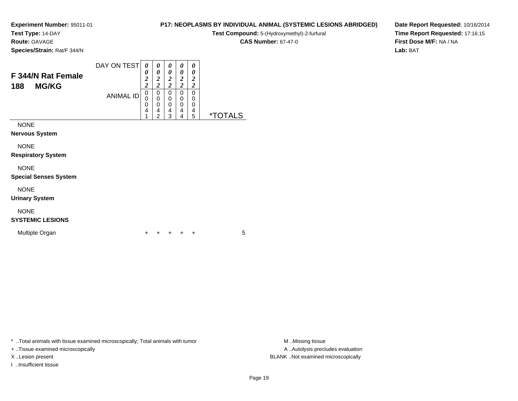**Test Type:** 14-DAY

**Route:** GAVAGE

**Species/Strain:** Rat/F 344/N

#### **P17: NEOPLASMS BY INDIVIDUAL ANIMAL (SYSTEMIC LESIONS ABRIDGED)**

**Test Compound:** 5-(Hydroxymethyl)-2-furfural

**CAS Number:** 67-47-0

**Date Report Requested:** 10/16/2014**Time Report Requested:** 17:16:15**First Dose M/F:** NA / NA**Lab:** BAT

| <b>F 344/N Rat Female</b><br><b>MG/KG</b><br>188 | DAY ON TEST      | 0<br>0<br>2<br>2 | 0<br>0<br>2<br>ኅ | 0<br>0<br>2<br>∍ | 0<br>0<br>2<br>2 | 0<br>0<br>$\overline{2}$<br>$\overline{2}$ |             |
|--------------------------------------------------|------------------|------------------|------------------|------------------|------------------|--------------------------------------------|-------------|
|                                                  | <b>ANIMAL ID</b> | 0<br>0<br>0      | 0<br>0<br>0      | 0<br>0<br>0      | 0<br>0<br>0      | 0<br>0<br>0                                |             |
|                                                  |                  | 4<br>◢           | 4<br>າ           | 4<br>વ           | 4<br>4           | 4<br>5                                     | ×т.<br>AI S |
| <b>NONE</b>                                      |                  |                  |                  |                  |                  |                                            |             |
| <b>Nervous System</b>                            |                  |                  |                  |                  |                  |                                            |             |

NONE

**Respiratory System**

# NONE

**Special Senses System**

NONE

**Urinary System**

# NONE

# **SYSTEMIC LESIONS**

Multiple Organn  $+$ 

<sup>+</sup> <sup>+</sup> <sup>+</sup> <sup>+</sup> <sup>5</sup>

\* ..Total animals with tissue examined microscopically; Total animals with tumor **M** ...Missing tissue M ...Missing tissue

+ ..Tissue examined microscopically

I ..Insufficient tissue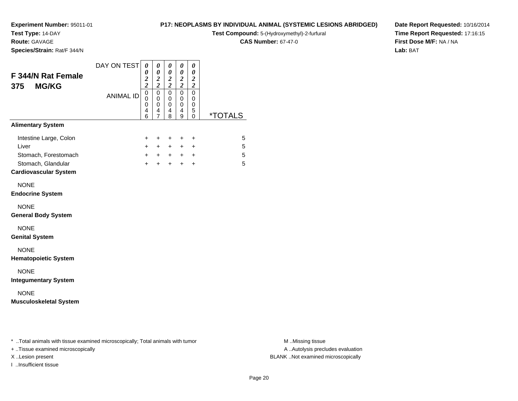**Test Type:** 14-DAY

**Route:** GAVAGE

**Species/Strain:** Rat/F 344/N

# **P17: NEOPLASMS BY INDIVIDUAL ANIMAL (SYSTEMIC LESIONS ABRIDGED)**

**Test Compound:** 5-(Hydroxymethyl)-2-furfural

**CAS Number:** 67-47-0

**Date Report Requested:** 10/16/2014**Time Report Requested:** 17:16:15**First Dose M/F:** NA / NA**Lab:** BAT

| F 344/N Rat Female<br><b>MG/KG</b><br>375          | DAY ON TEST      | 0<br>0<br>$\frac{2}{2}$         | 0<br>$\boldsymbol{\theta}$<br>$\boldsymbol{2}$<br>$\overline{\mathbf{c}}$ | 0<br>$\pmb{\theta}$<br>$\frac{2}{2}$ | 0<br>$\boldsymbol{\theta}$<br>$\frac{2}{2}$ | 0<br>$\boldsymbol{\theta}$<br>$\boldsymbol{2}$<br>$\boldsymbol{2}$ |                       |
|----------------------------------------------------|------------------|---------------------------------|---------------------------------------------------------------------------|--------------------------------------|---------------------------------------------|--------------------------------------------------------------------|-----------------------|
|                                                    | <b>ANIMAL ID</b> | $\mathbf 0$<br>0<br>0<br>4<br>6 | $\mathbf 0$<br>0<br>0<br>4<br>$\overline{7}$                              | $\mathbf 0$<br>0<br>0<br>4<br>8      | 0<br>$\mathbf 0$<br>0<br>4<br>9             | 0<br>$\mathbf 0$<br>0<br>5<br>$\Omega$                             | <i><b>*TOTALS</b></i> |
| <b>Alimentary System</b>                           |                  |                                 |                                                                           |                                      |                                             |                                                                    |                       |
| Intestine Large, Colon                             |                  | ÷                               | $\ddot{}$                                                                 | $\pm$                                | $\pm$                                       | $\ddot{}$                                                          | 5                     |
| Liver                                              |                  | $\ddot{}$                       | $+$                                                                       | $+$                                  | $+$                                         | $\ddot{}$                                                          | 5                     |
| Stomach, Forestomach                               |                  | $+$                             | $+$                                                                       | $+$                                  |                                             | $+$ $+$                                                            | 5                     |
| Stomach, Glandular<br><b>Cardiovascular System</b> |                  | $\ddot{}$                       | $+$                                                                       | $+$                                  | $+$                                         | $\ddot{}$                                                          | 5                     |
| <b>NONE</b><br><b>Endocrine System</b>             |                  |                                 |                                                                           |                                      |                                             |                                                                    |                       |
| <b>NONE</b><br><b>General Body System</b>          |                  |                                 |                                                                           |                                      |                                             |                                                                    |                       |
| <b>NONE</b><br><b>Genital System</b>               |                  |                                 |                                                                           |                                      |                                             |                                                                    |                       |
| <b>NONE</b><br><b>Hematopoietic System</b>         |                  |                                 |                                                                           |                                      |                                             |                                                                    |                       |
| <b>NONE</b><br><b>Integumentary System</b>         |                  |                                 |                                                                           |                                      |                                             |                                                                    |                       |
| <b>NONE</b><br><b>Musculoskeletal System</b>       |                  |                                 |                                                                           |                                      |                                             |                                                                    |                       |

\* ..Total animals with tissue examined microscopically; Total animals with tumor **M** . Missing tissue M ..Missing tissue

+ ..Tissue examined microscopically

I ..Insufficient tissue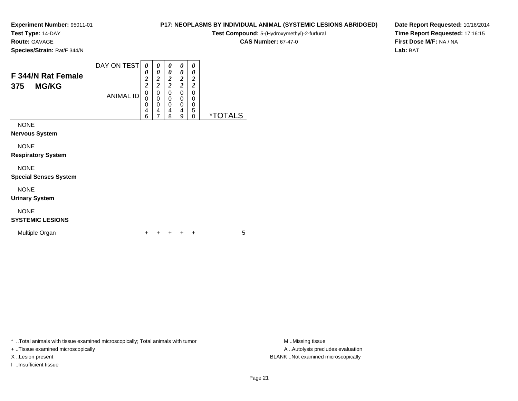**Test Type:** 14-DAY

**Route:** GAVAGE

**Species/Strain:** Rat/F 344/N

|            |  |  |  | <b>CAS Number: 67-47-0</b> |
|------------|--|--|--|----------------------------|
| it/F 344/N |  |  |  |                            |
|            |  |  |  |                            |
|            |  |  |  |                            |

**Date Report Requested:** 10/16/2014**Time Report Requested:** 17:16:15**First Dose M/F:** NA / NA**Lab:** BAT

| <b>F 344/N Rat Female</b><br><b>MG/KG</b><br>375    | DAY ON TEST      | 0<br>0<br>2<br>$\overline{2}$ | 0<br>0<br>2<br>2      | 0<br>0<br>2<br>$\overline{\mathbf{c}}$ | 0<br>0<br>2<br>2      | 0<br>0<br>2<br>2      |             |
|-----------------------------------------------------|------------------|-------------------------------|-----------------------|----------------------------------------|-----------------------|-----------------------|-------------|
|                                                     | <b>ANIMAL ID</b> | 0<br>0<br>0<br>4<br>6         | 0<br>0<br>0<br>4<br>7 | 0<br>0<br>0<br>4<br>8                  | 0<br>0<br>0<br>4<br>9 | 0<br>0<br>0<br>5<br>0 | ं T<br>TALS |
| <b>NONE</b><br><b>Nervous System</b><br><b>NONE</b> |                  |                               |                       |                                        |                       |                       |             |
| <b>Respiratory System</b>                           |                  |                               |                       |                                        |                       |                       |             |

NONE

**Special Senses System**

NONE

**Urinary System**

# NONE

# **SYSTEMIC LESIONS**

Multiple Organn  $+$ 

<sup>+</sup> <sup>+</sup> <sup>+</sup> <sup>+</sup> <sup>5</sup>

\* ..Total animals with tissue examined microscopically; Total animals with tumor **M** ...Missing tissue M ...Missing tissue

+ ..Tissue examined microscopically

I ..Insufficient tissue

A ..Autolysis precludes evaluation X ..Lesion present BLANK ..Not examined microscopically

**P17: NEOPLASMS BY INDIVIDUAL ANIMAL (SYSTEMIC LESIONS ABRIDGED)Test Compound:** 5-(Hydroxymethyl)-2-furfural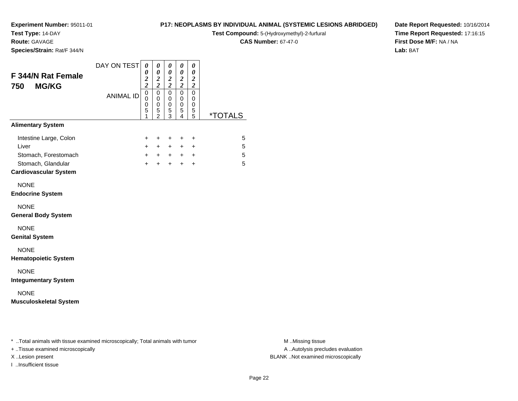**Test Type:** 14-DAY

**Route:** GAVAGE

**Species/Strain:** Rat/F 344/N

# **P17: NEOPLASMS BY INDIVIDUAL ANIMAL (SYSTEMIC LESIONS ABRIDGED)**

**Test Compound:** 5-(Hydroxymethyl)-2-furfural

**CAS Number:** 67-47-0

**Date Report Requested:** 10/16/2014**Time Report Requested:** 17:16:15**First Dose M/F:** NA / NA**Lab:** BAT

| <b>F 344/N Rat Female</b><br><b>MG/KG</b><br>750                                                              | DAY ON TEST      | 0<br>0<br>$\frac{2}{2}$                      | 0<br>$\pmb{\theta}$<br>$\boldsymbol{2}$<br>$\boldsymbol{2}$ | 0<br>$\pmb{\theta}$<br>$\frac{2}{2}$                 | 0<br>0<br>$\frac{2}{2}$                      | 0<br>$\boldsymbol{\theta}$<br>$\boldsymbol{2}$<br>$\boldsymbol{2}$ |                       |
|---------------------------------------------------------------------------------------------------------------|------------------|----------------------------------------------|-------------------------------------------------------------|------------------------------------------------------|----------------------------------------------|--------------------------------------------------------------------|-----------------------|
|                                                                                                               | <b>ANIMAL ID</b> | $\overline{0}$<br>$\mathbf 0$<br>0<br>5<br>1 | $\mathsf 0$<br>0<br>0<br>5<br>$\bar{2}$                     | $\pmb{0}$<br>$\mathbf 0$<br>0<br>5<br>$\overline{3}$ | $\mathbf 0$<br>0<br>0<br>5<br>$\overline{4}$ | $\pmb{0}$<br>0<br>0<br>5<br>$\overline{5}$                         | <i><b>*TOTALS</b></i> |
| <b>Alimentary System</b>                                                                                      |                  |                                              |                                                             |                                                      |                                              |                                                                    |                       |
| Intestine Large, Colon<br>Liver<br>Stomach, Forestomach<br>Stomach, Glandular<br><b>Cardiovascular System</b> |                  | +<br>$\ddot{}$<br>$+$<br>$\ddot{}$           | $\ddot{}$<br>$+$<br>$+$<br>$\ddot{}$                        | +<br>$\ddot{}$<br>$+$<br>$+$                         | +<br>$+$ $-$<br>$+$                          | +<br>+<br>$+$ $+$<br>$\ddot{}$                                     | 5<br>5<br>5<br>5      |
| <b>NONE</b><br><b>Endocrine System</b>                                                                        |                  |                                              |                                                             |                                                      |                                              |                                                                    |                       |
| <b>NONE</b><br><b>General Body System</b>                                                                     |                  |                                              |                                                             |                                                      |                                              |                                                                    |                       |
| <b>NONE</b><br><b>Genital System</b>                                                                          |                  |                                              |                                                             |                                                      |                                              |                                                                    |                       |
| <b>NONE</b><br><b>Hematopoietic System</b>                                                                    |                  |                                              |                                                             |                                                      |                                              |                                                                    |                       |
| <b>NONE</b><br><b>Integumentary System</b>                                                                    |                  |                                              |                                                             |                                                      |                                              |                                                                    |                       |
| <b>NONE</b><br><b>Musculoskeletal System</b>                                                                  |                  |                                              |                                                             |                                                      |                                              |                                                                    |                       |

\* ..Total animals with tissue examined microscopically; Total animals with tumor **M** . Missing tissue M ..Missing tissue

+ ..Tissue examined microscopically

I ..Insufficient tissue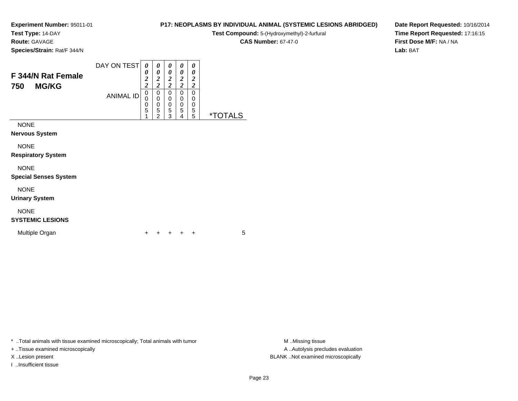**Test Type:** 14-DAY

**Route:** GAVAGE

**Species/Strain:** Rat/F 344/N

# **P17: NEOPLASMS BY INDIVIDUAL ANIMAL (SYSTEMIC LESIONS ABRIDGED)**

**Test Compound:** 5-(Hydroxymethyl)-2-furfural

**CAS Number:** 67-47-0

**Date Report Requested:** 10/16/2014**Time Report Requested:** 17:16:15**First Dose M/F:** NA / NA**Lab:** BAT

| F 344/N Rat Female<br><b>MG/KG</b><br>750 | DAY ON TEST      | 0<br>0<br>$\overline{2}$<br>2 | 0<br>0<br>$\overline{c}$<br>2 | 0<br>0<br>2<br>2      | 0<br>0<br>2<br>∍      | 0<br>0<br>2<br>2      |             |
|-------------------------------------------|------------------|-------------------------------|-------------------------------|-----------------------|-----------------------|-----------------------|-------------|
|                                           | <b>ANIMAL ID</b> | 0<br>0<br>5                   | 0<br>0<br>0<br>5<br>າ         | 0<br>0<br>0<br>5<br>3 | 0<br>0<br>0<br>5<br>4 | 0<br>0<br>0<br>5<br>5 | *TC<br>TALS |
| <b>NONE</b><br><b>Nervous System</b>      |                  |                               |                               |                       |                       |                       |             |

NONE

**Respiratory System**

#### NONE

**Special Senses System**

NONE

**Urinary System**

# NONE

# **SYSTEMIC LESIONS**

Multiple Organn  $+$ 

<sup>+</sup> <sup>+</sup> <sup>+</sup> <sup>+</sup> <sup>5</sup>

\* ..Total animals with tissue examined microscopically; Total animals with tumor **M** ...Missing tissue M ...Missing tissue

+ ..Tissue examined microscopically

I ..Insufficient tissue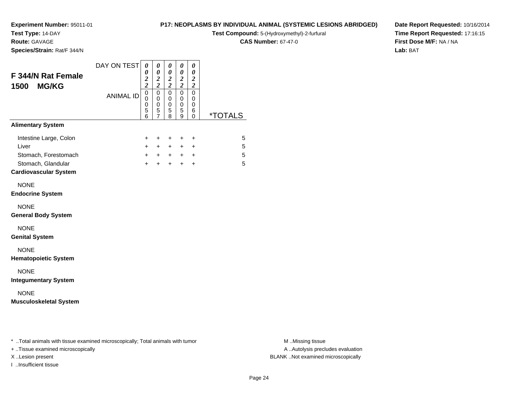**Test Type:** 14-DAY

**Route:** GAVAGE

**Species/Strain:** Rat/F 344/N

# **P17: NEOPLASMS BY INDIVIDUAL ANIMAL (SYSTEMIC LESIONS ABRIDGED)**

**Test Compound:** 5-(Hydroxymethyl)-2-furfural

**CAS Number:** 67-47-0

**Date Report Requested:** 10/16/2014**Time Report Requested:** 17:16:15**First Dose M/F:** NA / NA**Lab:** BAT

| <b>F 344/N Rat Female</b><br><b>MG/KG</b><br>1500                             | DAY ON TEST      | 0<br>0<br>$\boldsymbol{2}$<br>$\overline{c}$        | 0<br>$\boldsymbol{\theta}$<br>$\frac{2}{2}$                  | 0<br>$\boldsymbol{\theta}$<br>$\frac{2}{2}$ | 0<br>$\pmb{\theta}$<br>$\frac{2}{2}$            | 0<br>$\boldsymbol{\theta}$<br>$\boldsymbol{2}$<br>$\boldsymbol{2}$ |                       |
|-------------------------------------------------------------------------------|------------------|-----------------------------------------------------|--------------------------------------------------------------|---------------------------------------------|-------------------------------------------------|--------------------------------------------------------------------|-----------------------|
|                                                                               | <b>ANIMAL ID</b> | $\mathsf 0$<br>$\Omega$<br>0<br>$\overline{5}$<br>6 | $\mathbf 0$<br>$\mathbf 0$<br>$\,0\,$<br>5<br>$\overline{7}$ | 0<br>0<br>0<br>5<br>8                       | $\pmb{0}$<br>$\mathbf 0$<br>$\pmb{0}$<br>5<br>9 | $\mathbf 0$<br>0<br>0<br>6<br>$\mathbf 0$                          | <i><b>*TOTALS</b></i> |
| <b>Alimentary System</b>                                                      |                  |                                                     |                                                              |                                             |                                                 |                                                                    |                       |
| Intestine Large, Colon<br>Liver<br>Stomach, Forestomach<br>Stomach, Glandular |                  | $\ddot{}$<br>$+$<br>$+$<br>$+$                      | $\ddot{}$<br>$+$<br>$+$<br>$+$                               | $\ddot{}$<br>$+$<br>$+$<br>$+$              | $\ddot{}$<br>$+$<br>$+$<br>$+$                  | +<br>$\ddot{}$<br>$\ddot{}$<br>$\ddot{}$                           | 5<br>5<br>5<br>5      |
| <b>Cardiovascular System</b>                                                  |                  |                                                     |                                                              |                                             |                                                 |                                                                    |                       |
| <b>NONE</b><br><b>Endocrine System</b>                                        |                  |                                                     |                                                              |                                             |                                                 |                                                                    |                       |
| <b>NONE</b><br><b>General Body System</b>                                     |                  |                                                     |                                                              |                                             |                                                 |                                                                    |                       |
| <b>NONE</b><br><b>Genital System</b>                                          |                  |                                                     |                                                              |                                             |                                                 |                                                                    |                       |
| <b>NONE</b><br><b>Hematopoietic System</b>                                    |                  |                                                     |                                                              |                                             |                                                 |                                                                    |                       |
| <b>NONE</b><br><b>Integumentary System</b>                                    |                  |                                                     |                                                              |                                             |                                                 |                                                                    |                       |
| <b>NONE</b><br><b>Musculoskeletal System</b>                                  |                  |                                                     |                                                              |                                             |                                                 |                                                                    |                       |
|                                                                               |                  |                                                     |                                                              |                                             |                                                 |                                                                    |                       |
|                                                                               |                  |                                                     |                                                              |                                             |                                                 |                                                                    |                       |

\* ..Total animals with tissue examined microscopically; Total animals with tumor **M** . Missing tissue M ..Missing tissue

+ ..Tissue examined microscopically

I ..Insufficient tissue